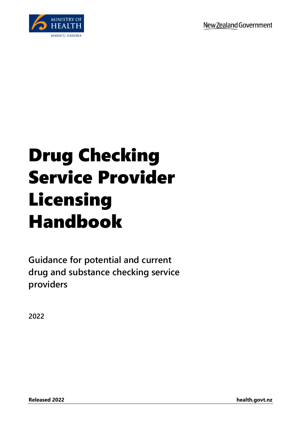

## Drug Checking Service Provider Licensing Handbook

**Guidance for potential and current drug and substance checking service providers**

**2022**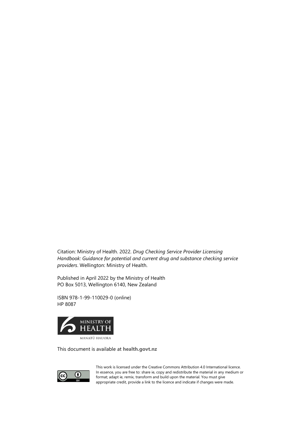Citation: Ministry of Health. 2022. *Drug Checking Service Provider Licensing Handbook: Guidance for potential and current drug and substance checking service providers*. Wellington: Ministry of Health.

Published in April 2022 by the Ministry of Health PO Box 5013, Wellington 6140, New Zealand

ISBN 978-1-99-110029-0 (online) HP 8087



This document is available at **[health.govt.nz](http://www.health.govt.nz/)**



This work is licensed under the Creative Commons Attribution 4.0 International licence. In essence, you are free to: share ie, copy and redistribute the material in any medium or format; adapt ie, remix, transform and build upon the material. You must give appropriate credit, provide a link to the licence and indicate if changes were made.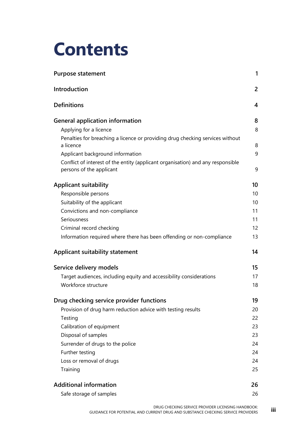## **Contents**

| <b>Purpose statement</b>                                                                                    |                |  |
|-------------------------------------------------------------------------------------------------------------|----------------|--|
| Introduction                                                                                                | $\overline{2}$ |  |
| <b>Definitions</b>                                                                                          | 4              |  |
| <b>General application information</b>                                                                      | 8              |  |
| Applying for a licence                                                                                      | 8              |  |
| Penalties for breaching a licence or providing drug checking services without<br>a licence                  | 8              |  |
| Applicant background information                                                                            | 9              |  |
| Conflict of interest of the entity (applicant organisation) and any responsible<br>persons of the applicant | 9              |  |
| <b>Applicant suitability</b>                                                                                | 10             |  |
| Responsible persons                                                                                         | 10             |  |
| Suitability of the applicant                                                                                | 10             |  |
| Convictions and non-compliance                                                                              | 11             |  |
| Seriousness                                                                                                 | 11             |  |
| Criminal record checking                                                                                    | 12             |  |
| Information required where there has been offending or non-compliance                                       | 13             |  |
| Applicant suitability statement                                                                             | 14             |  |
| Service delivery models                                                                                     | 15             |  |
| Target audiences, including equity and accessibility considerations                                         | 17             |  |
| Workforce structure                                                                                         | 18             |  |
| Drug checking service provider functions                                                                    | 19             |  |
| Provision of drug harm reduction advice with testing results                                                | 20             |  |
| Testing                                                                                                     | 22             |  |
| Calibration of equipment                                                                                    | 23             |  |
| Disposal of samples                                                                                         | 23             |  |
| Surrender of drugs to the police                                                                            | 24             |  |
| Further testing                                                                                             | 24             |  |
| Loss or removal of drugs                                                                                    | 24             |  |
| Training                                                                                                    | 25             |  |
| <b>Additional information</b>                                                                               | 26             |  |
| Safe storage of samples                                                                                     | 26             |  |
|                                                                                                             |                |  |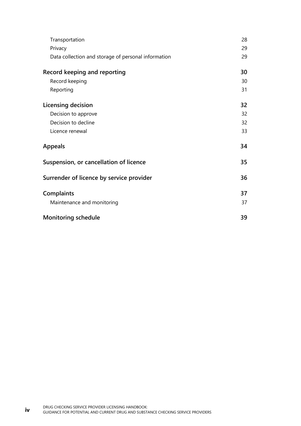| Transportation                                      | 28 |
|-----------------------------------------------------|----|
| Privacy                                             | 29 |
| Data collection and storage of personal information | 29 |
| Record keeping and reporting                        | 30 |
| Record keeping                                      | 30 |
| Reporting                                           | 31 |
| Licensing decision                                  | 32 |
| Decision to approve                                 | 32 |
| Decision to decline                                 | 32 |
| Licence renewal                                     | 33 |
| <b>Appeals</b>                                      | 34 |
| Suspension, or cancellation of licence              | 35 |
| Surrender of licence by service provider            | 36 |
| <b>Complaints</b>                                   | 37 |
| Maintenance and monitoring                          | 37 |
| <b>Monitoring schedule</b>                          | 39 |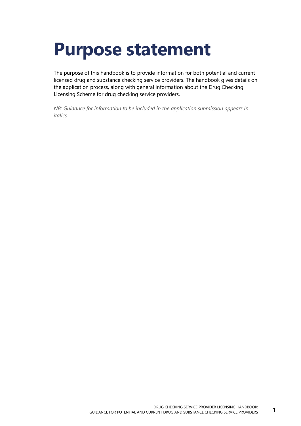## <span id="page-4-0"></span>**Purpose statement**

The purpose of this handbook is to provide information for both potential and current licensed drug and substance checking service providers. The handbook gives details on the application process, along with general information about the Drug Checking Licensing Scheme for drug checking service providers.

*NB: Guidance for information to be included in the application submission appears in italics.*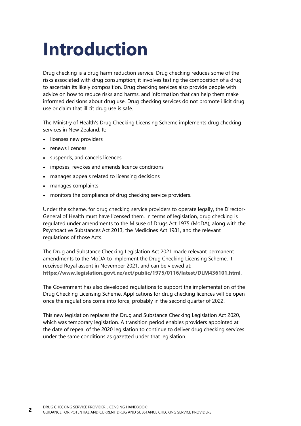## <span id="page-5-0"></span>**Introduction**

Drug checking is a drug harm reduction service. Drug checking reduces some of the risks associated with drug consumption; it involves testing the composition of a drug to ascertain its likely composition. Drug checking services also provide people with advice on how to reduce risks and harms, and information that can help them make informed decisions about drug use. Drug checking services do not promote illicit drug use or claim that illicit drug use is safe.

The Ministry of Health's Drug Checking Licensing Scheme implements drug checking services in New Zealand. It:

- licenses new providers
- renews licences
- suspends, and cancels licences
- imposes, revokes and amends licence conditions
- manages appeals related to licensing decisions
- manages complaints
- monitors the compliance of drug checking service providers.

Under the scheme, for drug checking service providers to operate legally, the Director-General of Health must have licensed them. In terms of legislation, drug checking is regulated under amendments to the Misuse of Drugs Act 1975 (MoDA), along with the Psychoactive Substances Act 2013, the Medicines Act 1981, and the relevant regulations of those Acts.

The Drug and Substance Checking Legislation Act 2021 made relevant permanent amendments to the MoDA to implement the Drug Checking Licensing Scheme. It received Royal assent in November 2021, and can be viewed at: **<https://www.legislation.govt.nz/act/public/1975/0116/latest/DLM436101.html>**.

The Government has also developed regulations to support the implementation of the Drug Checking Licensing Scheme. Applications for drug checking licences will be open once the regulations come into force, probably in the second quarter of 2022.

This new legislation replaces the Drug and Substance Checking Legislation Act 2020, which was temporary legislation. A transition period enables providers appointed at the date of repeal of the 2020 legislation to continue to deliver drug checking services under the same conditions as gazetted under that legislation.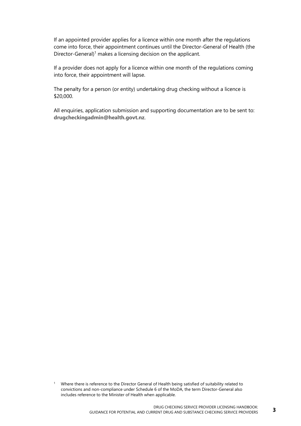If an appointed provider applies for a licence within one month after the regulations come into force, their appointment continues until the Director-General of Health (the Director-General)<sup>1</sup> makes a licensing decision on the applicant.

If a provider does not apply for a licence within one month of the regulations coming into force, their appointment will lapse.

The penalty for a person (or entity) undertaking drug checking without a licence is \$20,000.

All enquiries, application submission and supporting documentation are to be sent to: **[drugcheckingadmin@health.govt.nz](mailto:drugcheckingadmin@health.govt.nz)**.

<sup>1</sup> Where there is reference to the Director General of Health being satisfied of suitability related to convictions and non-compliance under Schedule 6 of the MoDA, the term Director-General also includes reference to the Minister of Health when applicable.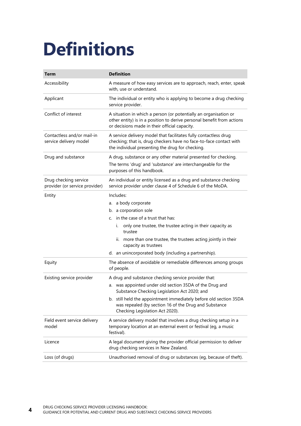## <span id="page-7-0"></span>**Definitions**

| <b>Term</b>                                             | <b>Definition</b>                                                                                                                                                                                                                                                                                                                                   |
|---------------------------------------------------------|-----------------------------------------------------------------------------------------------------------------------------------------------------------------------------------------------------------------------------------------------------------------------------------------------------------------------------------------------------|
| Accessibility                                           | A measure of how easy services are to approach, reach, enter, speak<br>with, use or understand.                                                                                                                                                                                                                                                     |
| Applicant                                               | The individual or entity who is applying to become a drug checking<br>service provider.                                                                                                                                                                                                                                                             |
| Conflict of interest                                    | A situation in which a person (or potentially an organisation or<br>other entity) is in a position to derive personal benefit from actions<br>or decisions made in their official capacity.                                                                                                                                                         |
| Contactless and/or mail-in<br>service delivery model    | A service delivery model that facilitates fully contactless drug<br>checking; that is, drug checkers have no face-to-face contact with<br>the individual presenting the drug for checking.                                                                                                                                                          |
| Drug and substance                                      | A drug, substance or any other material presented for checking.<br>The terms 'drug' and 'substance' are interchangeable for the<br>purposes of this handbook.                                                                                                                                                                                       |
| Drug checking service<br>provider (or service provider) | An individual or entity licensed as a drug and substance checking<br>service provider under clause 4 of Schedule 6 of the MoDA.                                                                                                                                                                                                                     |
| Entity                                                  | Includes:<br>a body corporate<br>a.<br>b. a corporation sole<br>in the case of a trust that has:<br>$\mathsf{C}$ .<br>only one trustee, the trustee acting in their capacity as<br>i.<br>trustee<br>ii. more than one trustee, the trustees acting jointly in their<br>capacity as trustees<br>d. an unincorporated body (including a partnership). |
| Equity                                                  | The absence of avoidable or remediable differences among groups<br>of people.                                                                                                                                                                                                                                                                       |
| Existing service provider                               | A drug and substance checking service provider that:<br>a. was appointed under old section 35DA of the Drug and<br>Substance Checking Legislation Act 2020; and<br>b. still held the appointment immediately before old section 35DA<br>was repealed (by section 16 of the Drug and Substance<br>Checking Legislation Act 2020).                    |
| Field event service delivery<br>model                   | A service delivery model that involves a drug checking setup in a<br>temporary location at an external event or festival (eg, a music<br>festival).                                                                                                                                                                                                 |
| Licence                                                 | A legal document giving the provider official permission to deliver<br>drug checking services in New Zealand.                                                                                                                                                                                                                                       |
| Loss (of drugs)                                         | Unauthorised removal of drug or substances (eg, because of theft).                                                                                                                                                                                                                                                                                  |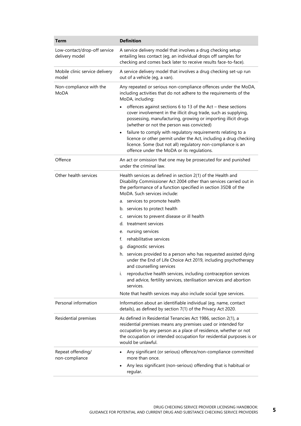| <b>Term</b>                                    | <b>Definition</b>                                                                                                                                                                                                                                                                               |
|------------------------------------------------|-------------------------------------------------------------------------------------------------------------------------------------------------------------------------------------------------------------------------------------------------------------------------------------------------|
| Low-contact/drop-off service<br>delivery model | A service delivery model that involves a drug checking setup<br>entailing less contact (eg, an individual drops off samples for<br>checking and comes back later to receive results face-to-face).                                                                                              |
| Mobile clinic service delivery<br>model        | A service delivery model that involves a drug checking set-up run<br>out of a vehicle (eg, a van).                                                                                                                                                                                              |
| Non-compliance with the<br>MoDA                | Any repeated or serious non-compliance offences under the MoDA,<br>including activities that do not adhere to the requirements of the<br>MoDA, including:                                                                                                                                       |
|                                                | offences against sections 6 to 13 of the Act - these sections<br>cover involvement in the illicit drug trade, such as supplying,<br>possessing, manufacturing, growing or importing illicit drugs<br>(whether or not the person was convicted)                                                  |
|                                                | failure to comply with regulatory requirements relating to a<br>$\bullet$<br>licence or other permit under the Act, including a drug checking<br>licence. Some (but not all) regulatory non-compliance is an<br>offence under the MoDA or its regulations.                                      |
| Offence                                        | An act or omission that one may be prosecuted for and punished<br>under the criminal law.                                                                                                                                                                                                       |
| Other health services                          | Health services as defined in section 2(1) of the Health and<br>Disability Commissioner Act 2004 other than services carried out in<br>the performance of a function specified in section 35DB of the<br>MoDA. Such services include:                                                           |
|                                                | services to promote health<br>a.                                                                                                                                                                                                                                                                |
|                                                | b. services to protect health                                                                                                                                                                                                                                                                   |
|                                                | services to prevent disease or ill health<br>c.                                                                                                                                                                                                                                                 |
|                                                | treatment services<br>d.                                                                                                                                                                                                                                                                        |
|                                                | nursing services<br>е.                                                                                                                                                                                                                                                                          |
|                                                | rehabilitative services<br>f.                                                                                                                                                                                                                                                                   |
|                                                | diagnostic services<br>g.                                                                                                                                                                                                                                                                       |
|                                                | h. services provided to a person who has requested assisted dying<br>under the End of Life Choice Act 2019, including psychotherapy<br>and counselling services                                                                                                                                 |
|                                                | i.<br>reproductive health services, including contraception services<br>and advice, fertility services, sterilisation services and abortion<br>services.                                                                                                                                        |
|                                                | Note that health services may also include social type services.                                                                                                                                                                                                                                |
| Personal information                           | Information about an identifiable individual (eg, name, contact<br>details), as defined by section 7(1) of the Privacy Act 2020.                                                                                                                                                                |
| Residential premises                           | As defined in Residential Tenancies Act 1986, section 2(1), a<br>residential premises means any premises used or intended for<br>occupation by any person as a place of residence, whether or not<br>the occupation or intended occupation for residential purposes is or<br>would be unlawful. |
| Repeat offending/<br>non-compliance            | Any significant (or serious) offence/non-compliance committed<br>$\bullet$<br>more than once.                                                                                                                                                                                                   |
|                                                | Any less significant (non-serious) offending that is habitual or<br>$\bullet$<br>regular.                                                                                                                                                                                                       |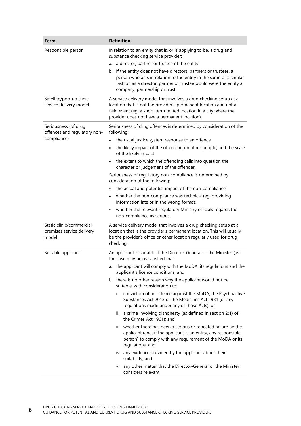| Term                                                           | <b>Definition</b>                                                                                                                                                                                                                                           |
|----------------------------------------------------------------|-------------------------------------------------------------------------------------------------------------------------------------------------------------------------------------------------------------------------------------------------------------|
| Responsible person                                             | In relation to an entity that is, or is applying to be, a drug and<br>substance checking service provider:                                                                                                                                                  |
|                                                                | a director, partner or trustee of the entity<br>a.                                                                                                                                                                                                          |
|                                                                | b. if the entity does not have directors, partners or trustees, a<br>person who acts in relation to the entity in the same or a similar<br>fashion as a director, partner or trustee would were the entity a<br>company, partnership or trust.              |
| Satellite/pop-up clinic<br>service delivery model              | A service delivery model that involves a drug checking setup at a<br>location that is not the provider's permanent location and not a<br>field event (eg, a short-term rented location in a city where the<br>provider does not have a permanent location). |
| Seriousness (of drug<br>offences and regulatory non-           | Seriousness of drug offences is determined by consideration of the<br>following:                                                                                                                                                                            |
| compliance)                                                    | the usual justice system response to an offence                                                                                                                                                                                                             |
|                                                                | the likely impact of the offending on other people, and the scale<br>$\bullet$<br>of the likely impact                                                                                                                                                      |
|                                                                | the extent to which the offending calls into question the<br>character or judgement of the offender.                                                                                                                                                        |
|                                                                | Seriousness of regulatory non-compliance is determined by<br>consideration of the following:                                                                                                                                                                |
|                                                                | the actual and potential impact of the non-compliance                                                                                                                                                                                                       |
|                                                                | whether the non-compliance was technical (eg, providing<br>٠<br>information late or in the wrong format)                                                                                                                                                    |
|                                                                | whether the relevant regulatory Ministry officials regards the<br>$\bullet$<br>non-compliance as serious.                                                                                                                                                   |
| Static clinic/commercial<br>premises service delivery<br>model | A service delivery model that involves a drug checking setup at a<br>location that is the provider's permanent location. This will usually<br>be the provider's office or other location regularly used for drug<br>checking.                               |
| Suitable applicant                                             | An applicant is suitable if the Director-General or the Minister (as<br>the case may be) is satisfied that:                                                                                                                                                 |
|                                                                | a. the applicant will comply with the MoDA, its regulations and the<br>applicant's licence conditions; and                                                                                                                                                  |
|                                                                | b. there is no other reason why the applicant would not be<br>suitable, with consideration to:                                                                                                                                                              |
|                                                                | conviction of an offence against the MoDA, the Psychoactive<br>i.<br>Substances Act 2013 or the Medicines Act 1981 (or any<br>regulations made under any of those Acts); or                                                                                 |
|                                                                | ii. a crime involving dishonesty (as defined in section 2(1) of<br>the Crimes Act 1961); and                                                                                                                                                                |
|                                                                | iii. whether there has been a serious or repeated failure by the<br>applicant (and, if the applicant is an entity, any responsible<br>person) to comply with any requirement of the MoDA or its<br>regulations; and                                         |
|                                                                | iv. any evidence provided by the applicant about their<br>suitability; and                                                                                                                                                                                  |
|                                                                | v. any other matter that the Director-General or the Minister<br>considers relevant.                                                                                                                                                                        |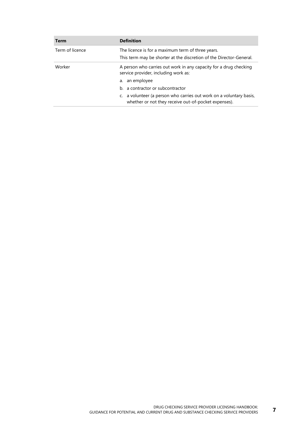| Term            | <b>Definition</b>                                                                                                           |
|-----------------|-----------------------------------------------------------------------------------------------------------------------------|
| Term of licence | The licence is for a maximum term of three years.                                                                           |
|                 | This term may be shorter at the discretion of the Director-General.                                                         |
| Worker          | A person who carries out work in any capacity for a drug checking<br>service provider, including work as:                   |
|                 | a. an employee                                                                                                              |
|                 | b. a contractor or subcontractor                                                                                            |
|                 | c. a volunteer (a person who carries out work on a voluntary basis,<br>whether or not they receive out-of-pocket expenses). |
|                 |                                                                                                                             |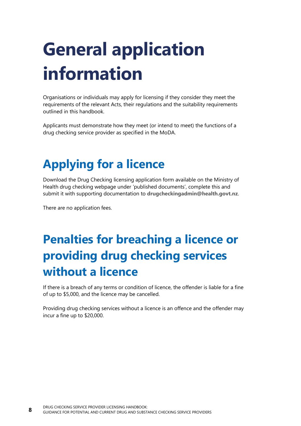## <span id="page-11-0"></span>**General application information**

Organisations or individuals may apply for licensing if they consider they meet the requirements of the relevant Acts, their regulations and the suitability requirements outlined in this handbook.

Applicants must demonstrate how they meet (or intend to meet) the functions of a drug checking service provider as specified in the MoDA.

## <span id="page-11-1"></span>**Applying for a licence**

Download the Drug Checking licensing application form available on the Ministry of Health drug checking webpage under 'published documents', complete this and submit it with supporting documentation to **[drugcheckingadmin@health.govt.nz](mailto:drugcheckingadmin@health.govt.nz)**.

There are no application fees.

### <span id="page-11-2"></span>**Penalties for breaching a licence or providing drug checking services without a licence**

If there is a breach of any terms or condition of licence, the offender is liable for a fine of up to \$5,000, and the licence may be cancelled.

Providing drug checking services without a licence is an offence and the offender may incur a fine up to \$20,000.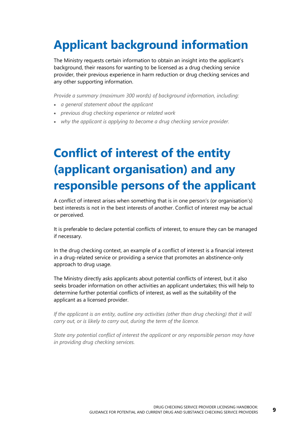## <span id="page-12-0"></span>**Applicant background information**

The Ministry requests certain information to obtain an insight into the applicant's background, their reasons for wanting to be licensed as a drug checking service provider, their previous experience in harm reduction or drug checking services and any other supporting information.

*Provide a summary (maximum 300 words) of background information, including:*

- *a general statement about the applicant*
- *previous drug checking experience or related work*
- *why the applicant is applying to become a drug checking service provider.*

### <span id="page-12-1"></span>**Conflict of interest of the entity (applicant organisation) and any responsible persons of the applicant**

A conflict of interest arises when something that is in one person's (or organisation's) best interests is not in the best interests of another. Conflict of interest may be actual or perceived.

It is preferable to declare potential conflicts of interest, to ensure they can be managed if necessary.

In the drug checking context, an example of a conflict of interest is a financial interest in a drug-related service or providing a service that promotes an abstinence-only approach to drug usage.

The Ministry directly asks applicants about potential conflicts of interest, but it also seeks broader information on other activities an applicant undertakes; this will help to determine further potential conflicts of interest, as well as the suitability of the applicant as a licensed provider.

*If the applicant is an entity, outline any activities (other than drug checking) that it will carry out, or is likely to carry out, during the term of the licence.*

*State any potential conflict of interest the applicant or any responsible person may have in providing drug checking services.*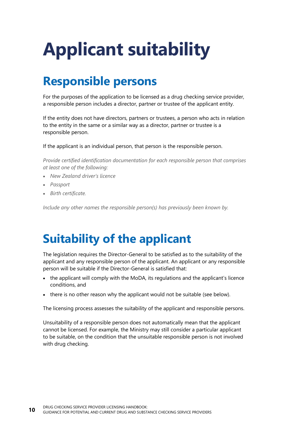# <span id="page-13-0"></span>**Applicant suitability**

#### <span id="page-13-1"></span>**Responsible persons**

For the purposes of the application to be licensed as a drug checking service provider, a responsible person includes a director, partner or trustee of the applicant entity.

If the entity does not have directors, partners or trustees, a person who acts in relation to the entity in the same or a similar way as a director, partner or trustee is a responsible person.

If the applicant is an individual person, that person is the responsible person.

*Provide certified identification documentation for each responsible person that comprises at least one of the following:*

- *New Zealand driver's licence*
- *Passport*
- *Birth certificate.*

*Include any other names the responsible person(s) has previously been known by.*

### <span id="page-13-2"></span>**Suitability of the applicant**

The legislation requires the Director-General to be satisfied as to the suitability of the applicant and any responsible person of the applicant. An applicant or any responsible person will be suitable if the Director-General is satisfied that:

- the applicant will comply with the MoDA, its regulations and the applicant's licence conditions, and
- there is no other reason why the applicant would not be suitable (see below).

The licensing process assesses the suitability of the applicant and responsible persons.

Unsuitability of a responsible person does not automatically mean that the applicant cannot be licensed. For example, the Ministry may still consider a particular applicant to be suitable, on the condition that the unsuitable responsible person is not involved with drug checking.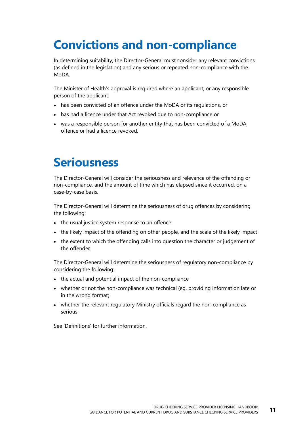### <span id="page-14-0"></span>**Convictions and non-compliance**

In determining suitability, the Director-General must consider any relevant convictions (as defined in the legislation) and any serious or repeated non-compliance with the MoDA.

The Minister of Health's approval is required where an applicant, or any responsible person of the applicant:

- has been convicted of an offence under the MoDA or its regulations, or
- has had a licence under that Act revoked due to non-compliance or
- was a responsible person for another entity that has been convicted of a MoDA offence or had a licence revoked.

#### <span id="page-14-1"></span>**Seriousness**

The Director-General will consider the seriousness and relevance of the offending or non-compliance, and the amount of time which has elapsed since it occurred, on a case-by-case basis.

The Director-General will determine the seriousness of drug offences by considering the following:

- the usual justice system response to an offence
- the likely impact of the offending on other people, and the scale of the likely impact
- the extent to which the offending calls into question the character or judgement of the offender.

The Director-General will determine the seriousness of regulatory non-compliance by considering the following:

- the actual and potential impact of the non-compliance
- whether or not the non-compliance was technical (eg, providing information late or in the wrong format)
- whether the relevant regulatory Ministry officials regard the non-compliance as serious.

See 'Definitions' for further information.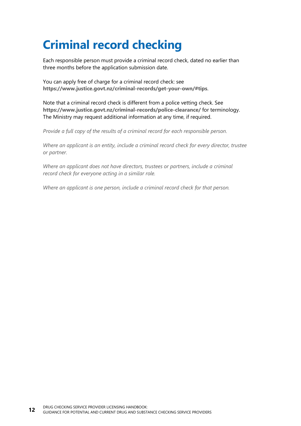### <span id="page-15-0"></span>**Criminal record checking**

Each responsible person must provide a criminal record check, dated no earlier than three months before the application submission date.

You can apply free of charge for a criminal record check: see **<https://www.justice.govt.nz/criminal-records/get-your-own/#tips>**.

Note that a criminal record check is different from a police vetting check. See **<https://www.justice.govt.nz/criminal-records/police-clearance/>** for terminology. The Ministry may request additional information at any time, if required.

*Provide a full copy of the results of a criminal record for each responsible person.*

*Where an applicant is an entity, include a criminal record check for every director, trustee or partner.*

*Where an applicant does not have directors, trustees or partners, include a criminal record check for everyone acting in a similar role.*

*Where an applicant is one person, include a criminal record check for that person.*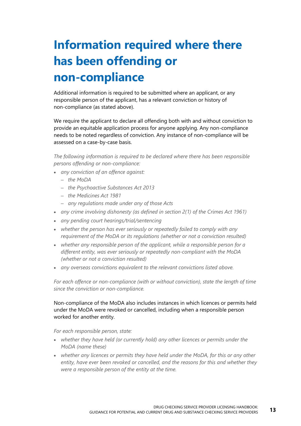## <span id="page-16-0"></span>**Information required where there has been offending or non-compliance**

Additional information is required to be submitted where an applicant, or any responsible person of the applicant, has a relevant conviction or history of non-compliance (as stated above).

We require the applicant to declare all offending both with and without conviction to provide an equitable application process for anyone applying. Any non-compliance needs to be noted regardless of conviction. Any instance of non-compliance will be assessed on a case-by-case basis.

*The following information is required to be declared where there has been responsible persons offending or non-compliance:*

- *any conviction of an offence against:*
	- *the MoDA*
	- *the Psychoactive Substances Act 2013*
	- *the Medicines Act 1981*
	- *any regulations made under any of those Acts*
- *any crime involving dishonesty (as defined in section 2(1) of the Crimes Act 1961)*
- *any pending court hearings/trial/sentencing*
- *whether the person has ever seriously or repeatedly failed to comply with any requirement of the MoDA or its regulations (whether or not a conviction resulted)*
- *whether any responsible person of the applicant, while a responsible person for a different entity, was ever seriously or repeatedly non-compliant with the MoDA (whether or not a conviction resulted)*
- *any overseas convictions equivalent to the relevant convictions listed above.*

*For each offence or non-compliance (with or without conviction), state the length of time since the conviction or non-compliance.*

Non-compliance of the MoDA also includes instances in which licences or permits held under the MoDA were revoked or cancelled, including when a responsible person worked for another entity.

*For each responsible person, state:*

- *whether they have held (or currently hold) any other licences or permits under the MoDA (name these)*
- *whether any licences or permits they have held under the MoDA, for this or any other entity, have ever been revoked or cancelled, and the reasons for this and whether they were a responsible person of the entity at the time.*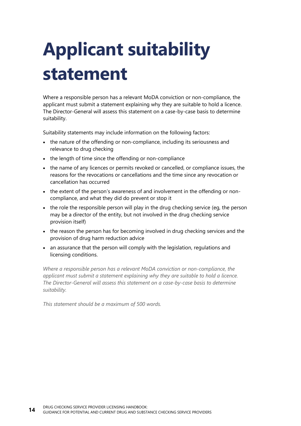## <span id="page-17-0"></span>**Applicant suitability statement**

Where a responsible person has a relevant MoDA conviction or non-compliance, the applicant must submit a statement explaining why they are suitable to hold a licence. The Director-General will assess this statement on a case-by-case basis to determine suitability.

Suitability statements may include information on the following factors:

- the nature of the offending or non-compliance, including its seriousness and relevance to drug checking
- the length of time since the offending or non-compliance
- the name of any licences or permits revoked or cancelled, or compliance issues, the reasons for the revocations or cancellations and the time since any revocation or cancellation has occurred
- the extent of the person's awareness of and involvement in the offending or noncompliance, and what they did do prevent or stop it
- the role the responsible person will play in the drug checking service (eg, the person may be a director of the entity, but not involved in the drug checking service provision itself)
- the reason the person has for becoming involved in drug checking services and the provision of drug harm reduction advice
- an assurance that the person will comply with the legislation, regulations and licensing conditions.

*Where a responsible person has a relevant MoDA conviction or non-compliance, the applicant must submit a statement explaining why they are suitable to hold a licence. The Director-General will assess this statement on a case-by-case basis to determine suitability.*

*This statement should be a maximum of 500 words.*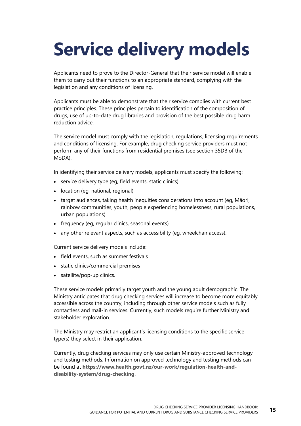## <span id="page-18-0"></span>**Service delivery models**

Applicants need to prove to the Director-General that their service model will enable them to carry out their functions to an appropriate standard, complying with the legislation and any conditions of licensing.

Applicants must be able to demonstrate that their service complies with current best practice principles. These principles pertain to identification of the composition of drugs, use of up-to-date drug libraries and provision of the best possible drug harm reduction advice.

The service model must comply with the legislation, regulations, licensing requirements and conditions of licensing. For example, drug checking service providers must not perform any of their functions from residential premises (see section 35DB of the MoDA).

In identifying their service delivery models, applicants must specify the following:

- service delivery type (eg, field events, static clinics)
- location (eg, national, regional)
- target audiences, taking health inequities considerations into account (eg, Māori, rainbow communities, youth, people experiencing homelessness, rural populations, urban populations)
- frequency (eq, reqular clinics, seasonal events)
- any other relevant aspects, such as accessibility (eg, wheelchair access).

Current service delivery models include:

- field events, such as summer festivals
- static clinics/commercial premises
- satellite/pop-up clinics.

These service models primarily target youth and the young adult demographic. The Ministry anticipates that drug checking services will increase to become more equitably accessible across the country, including through other service models such as fully contactless and mail-in services. Currently, such models require further Ministry and stakeholder exploration.

The Ministry may restrict an applicant's licensing conditions to the specific service type(s) they select in their application.

Currently, drug checking services may only use certain Ministry-approved technology and testing methods. Information on approved technology and testing methods can be found at **[https://www.health.govt.nz/our-work/regulation-health-and](https://www.health.govt.nz/our-work/regulation-health-and-disability-system/drug-checking)[disability-system/drug-checking](https://www.health.govt.nz/our-work/regulation-health-and-disability-system/drug-checking)**.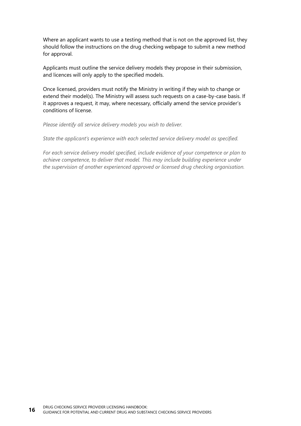Where an applicant wants to use a testing method that is not on the approved list, they should follow the instructions on the drug checking webpage to submit a new method for approval.

Applicants must outline the service delivery models they propose in their submission, and licences will only apply to the specified models.

Once licensed, providers must notify the Ministry in writing if they wish to change or extend their model(s). The Ministry will assess such requests on a case-by-case basis. If it approves a request, it may, where necessary, officially amend the service provider's conditions of license.

*Please identify all service delivery models you wish to deliver.*

*State the applicant's experience with each selected service delivery model as specified.*

*For each service delivery model specified, include evidence of your competence or plan to achieve competence, to deliver that model. This may include building experience under the supervision of another experienced approved or licensed drug checking organisation.*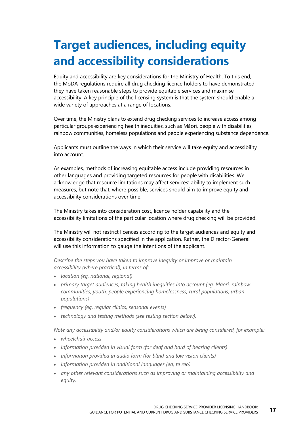### <span id="page-20-0"></span>**Target audiences, including equity and accessibility considerations**

Equity and accessibility are key considerations for the Ministry of Health. To this end, the MoDA regulations require all drug checking licence holders to have demonstrated they have taken reasonable steps to provide equitable services and maximise accessibility. A key principle of the licensing system is that the system should enable a wide variety of approaches at a range of locations.

Over time, the Ministry plans to extend drug checking services to increase access among particular groups experiencing health inequities, such as Māori, people with disabilities, rainbow communities, homeless populations and people experiencing substance dependence.

Applicants must outline the ways in which their service will take equity and accessibility into account.

As examples, methods of increasing equitable access include providing resources in other languages and providing targeted resources for people with disabilities. We acknowledge that resource limitations may affect services' ability to implement such measures, but note that, where possible, services should aim to improve equity and accessibility considerations over time.

The Ministry takes into consideration cost, licence holder capability and the accessibility limitations of the particular location where drug checking will be provided.

The Ministry will not restrict licences according to the target audiences and equity and accessibility considerations specified in the application. Rather, the Director-General will use this information to gauge the intentions of the applicant.

*Describe the steps you have taken to improve inequity or improve or maintain accessibility (where practical), in terms of:*

- *location (eg, national, regional)*
- *primary target audiences, taking health inequities into account (eg, Māori, rainbow communities, youth, people experiencing homelessness, rural populations, urban populations)*
- *frequency (eg, regular clinics, seasonal events)*
- *technology and testing methods (see testing section below).*

*Note any accessibility and/or equity considerations which are being considered, for example:*

- *wheelchair access*
- *information provided in visual form (for deaf and hard of hearing clients)*
- *information provided in audio form (for blind and low vision clients)*
- *information provided in additional languages (eg, te reo)*
- *any other relevant considerations such as improving or maintaining accessibility and equity.*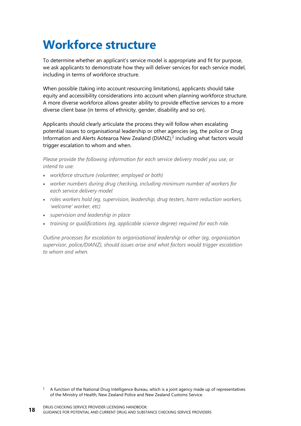### <span id="page-21-0"></span>**Workforce structure**

To determine whether an applicant's service model is appropriate and fit for purpose, we ask applicants to demonstrate how they will deliver services for each service model, including in terms of workforce structure.

When possible (taking into account resourcing limitations), applicants should take equity and accessibility considerations into account when planning workforce structure. A more diverse workforce allows greater ability to provide effective services to a more diverse client base (in terms of ethnicity, gender, disability and so on).

Applicants should clearly articulate the process they will follow when escalating potential issues to organisational leadership or other agencies (eg, the police or Drug Information and Alerts Aotearoa New Zealand (DIANZ),<sup>2</sup> including what factors would trigger escalation to whom and when.

*Please provide the following information for each service delivery model you use, or intend to use:*

- *workforce structure (volunteer, employed or both)*
- *worker numbers during drug checking, including minimum number of workers for each service delivery model*
- *roles workers hold (eg, supervision, leadership, drug testers, harm reduction workers, 'welcome' worker, etc)*
- *supervision and leadership in place*
- *training or qualifications (eg, applicable science degree) required for each role.*

*Outline processes for escalation to organisational leadership or other (eg, organisation supervisor, police/DIANZ), should issues arise and what factors would trigger escalation to whom and when.*

<sup>2</sup> A function of the National Drug Intelligence Bureau, which is a joint agency made up of representatives of the Ministry of Health, New Zealand Police and New Zealand Customs Service.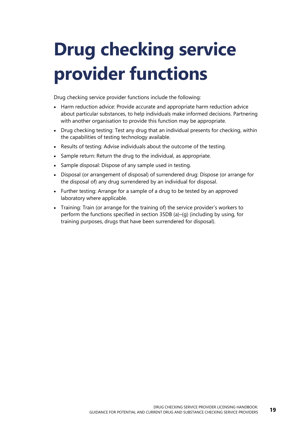## <span id="page-22-0"></span>**Drug checking service provider functions**

Drug checking service provider functions include the following:

- Harm reduction advice: Provide accurate and appropriate harm reduction advice about particular substances, to help individuals make informed decisions. Partnering with another organisation to provide this function may be appropriate.
- Drug checking testing: Test any drug that an individual presents for checking, within the capabilities of testing technology available.
- Results of testing: Advise individuals about the outcome of the testing.
- Sample return: Return the drug to the individual, as appropriate.
- Sample disposal: Dispose of any sample used in testing.
- Disposal (or arrangement of disposal) of surrendered drug: Dispose (or arrange for the disposal of) any drug surrendered by an individual for disposal.
- Further testing: Arrange for a sample of a drug to be tested by an approved laboratory where applicable.
- Training: Train (or arrange for the training of) the service provider's workers to perform the functions specified in section 35DB (a)–(g) (including by using, for training purposes, drugs that have been surrendered for disposal).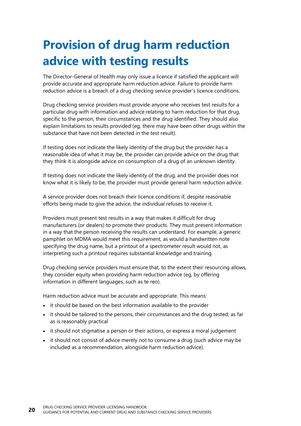### <span id="page-23-0"></span>**Provision of drug harm reduction advice with testing results**

The Director-General of Health may only issue a licence if satisfied the applicant will provide accurate and appropriate harm reduction advice. Failure to provide harm reduction advice is a breach of a drug checking service provider's licence conditions.

Drug checking service providers must provide anyone who receives test results for a particular drug with information and advice relating to harm reduction for that drug, specific to the person, their circumstances and the drug identified. They should also explain limitations to results provided (eg, there may have been other drugs within the substance that have not been detected in the test result).

If testing does not indicate the likely identity of the drug but the provider has a reasonable idea of what it may be, the provider can provide advice on the drug that they think it is alongside advice on consumption of a drug of an unknown identity.

If testing does not indicate the likely identity of the drug, and the provider does not know what it is likely to be, the provider must provide general harm reduction advice.

A service provider does not breach their licence conditions if, despite reasonable efforts being made to give the advice, the individual refuses to receive it.

Providers must present test results in a way that makes it difficult for drug manufacturers (or dealers) to promote their products. They must present information in a way that the person receiving the results can understand. For example, a generic pamphlet on MDMA would meet this requirement, as would a handwritten note specifying the drug name, but a printout of a spectrometer result would not, as interpreting such a printout requires substantial knowledge and training.

Drug checking service providers must ensure that, to the extent their resourcing allows, they consider equity when providing harm reduction advice (eg, by offering information in different languages, such as te reo).

Harm reduction advice must be accurate and appropriate. This means:

- it should be based on the best information available to the provider
- it should be tailored to the persons, their circumstances and the drug tested, as far as is reasonably practical
- it should not stigmatise a person or their actions, or express a moral judgement
- it should not consist of advice merely not to consume a drug (such advice may be included as a recommendation, alongside harm reduction advice).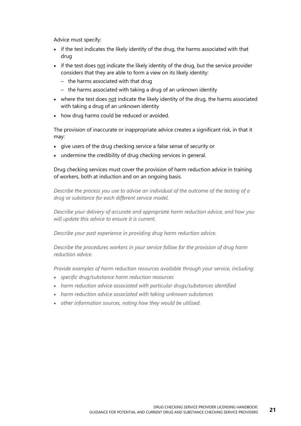Advice must specify:

- if the test indicates the likely identity of the drug, the harms associated with that drug
- if the test does not indicate the likely identity of the drug, but the service provider considers that they are able to form a view on its likely identity:
	- the harms associated with that drug
	- the harms associated with taking a drug of an unknown identity
- where the test does not indicate the likely identity of the drug, the harms associated with taking a drug of an unknown identity
- how drug harms could be reduced or avoided.

The provision of inaccurate or inappropriate advice creates a significant risk, in that it may:

- give users of the drug checking service a false sense of security or
- undermine the credibility of drug checking services in general.

Drug checking services must cover the provision of harm reduction advice in training of workers, both at induction and on an ongoing basis.

*Describe the process you use to advise an individual of the outcome of the testing of a drug or substance for each different service model.*

*Describe your delivery of accurate and appropriate harm reduction advice, and how you will update this advice to ensure it is current.*

*Describe your past experience in providing drug harm reduction advice.*

*Describe the procedures workers in your service follow for the provision of drug harm reduction advice.*

*Provide examples of harm reduction resources available through your service, including:*

- *specific drug/substance harm reduction resources*
- *harm reduction advice associated with particular drugs/substances identified*
- *harm reduction advice associated with taking unknown substances*
- *other information sources, noting how they would be utilised.*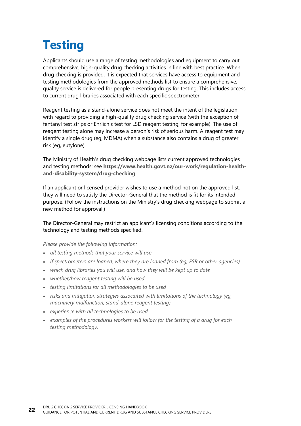## <span id="page-25-0"></span>**Testing**

Applicants should use a range of testing methodologies and equipment to carry out comprehensive, high-quality drug checking activities in line with best practice. When drug checking is provided, it is expected that services have access to equipment and testing methodologies from the approved methods list to ensure a comprehensive, quality service is delivered for people presenting drugs for testing. This includes access to current drug libraries associated with each specific spectrometer.

Reagent testing as a stand-alone service does not meet the intent of the legislation with regard to providing a high-quality drug checking service (with the exception of fentanyl test strips or Ehrlich's test for LSD reagent testing, for example). The use of reagent testing alone may increase a person's risk of serious harm. A reagent test may identify a single drug (eg, MDMA) when a substance also contains a drug of greater risk (eg, eutylone).

The Ministry of Health's drug checking webpage lists current approved technologies and testing methods: see **[https://www.health.govt.nz/our-work/regulation-health](https://www.health.govt.nz/our-work/regulation-health-and-disability-system/drug-checking)[and-disability-system/drug-checking](https://www.health.govt.nz/our-work/regulation-health-and-disability-system/drug-checking)**.

If an applicant or licensed provider wishes to use a method not on the approved list, they will need to satisfy the Director-General that the method is fit for its intended purpose. (Follow the instructions on the Ministry's drug checking webpage to submit a new method for approval.)

The Director-General may restrict an applicant's licensing conditions according to the technology and testing methods specified.

*Please provide the following information:*

- *all testing methods that your service will use*
- *if spectrometers are loaned, where they are loaned from (eg, ESR or other agencies)*
- *which drug libraries you will use, and how they will be kept up to date*
- *whether/how reagent testing will be used*
- *testing limitations for all methodologies to be used*
- *risks and mitigation strategies associated with limitations of the technology (eg, machinery malfunction, stand-alone reagent testing)*
- *experience with all technologies to be used*
- *examples of the procedures workers will follow for the testing of a drug for each testing methodology.*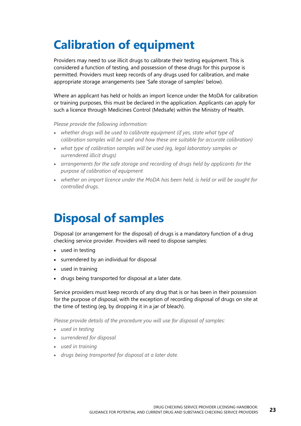## <span id="page-26-0"></span>**Calibration of equipment**

Providers may need to use illicit drugs to calibrate their testing equipment. This is considered a function of testing, and possession of these drugs for this purpose is permitted. Providers must keep records of any drugs used for calibration, and make appropriate storage arrangements (see 'Safe storage of samples' below).

Where an applicant has held or holds an import licence under the MoDA for calibration or training purposes, this must be declared in the application. Applicants can apply for such a licence through Medicines Control (Medsafe) within the Ministry of Health.

*Please provide the following information:*

- *whether drugs will be used to calibrate equipment (if yes, state what type of calibration samples will be used and how these are suitable for accurate calibration)*
- *what type of calibration samples will be used (eg, legal laboratory samples or surrendered illicit drugs)*
- *arrangements for the safe storage and recording of drugs held by applicants for the purpose of calibration of equipment*
- *whether an import licence under the MoDA has been held, is held or will be sought for controlled drugs.*

### <span id="page-26-1"></span>**Disposal of samples**

Disposal (or arrangement for the disposal) of drugs is a mandatory function of a drug checking service provider. Providers will need to dispose samples:

- used in testing
- surrendered by an individual for disposal
- used in training
- drugs being transported for disposal at a later date.

Service providers must keep records of any drug that is or has been in their possession for the purpose of disposal, with the exception of recording disposal of drugs on site at the time of testing (eg, by dropping it in a jar of bleach).

*Please provide details of the procedure you will use for disposal of samples:*

- *used in testing*
- *surrendered for disposal*
- *used in training*
- *drugs being transported for disposal at a later date.*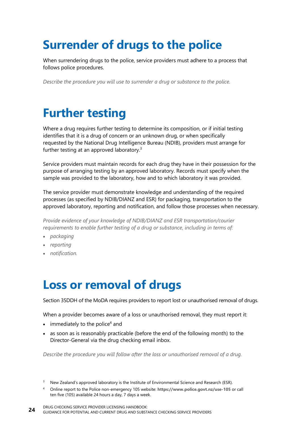### <span id="page-27-0"></span>**Surrender of drugs to the police**

When surrendering drugs to the police, service providers must adhere to a process that follows police procedures.

*Describe the procedure you will use to surrender a drug or substance to the police.*

#### <span id="page-27-1"></span>**Further testing**

Where a drug requires further testing to determine its composition, or if initial testing identifies that it is a drug of concern or an unknown drug, or when specifically requested by the National Drug Intelligence Bureau (NDIB), providers must arrange for further testing at an approved laboratory.<sup>3</sup>

Service providers must maintain records for each drug they have in their possession for the purpose of arranging testing by an approved laboratory. Records must specify when the sample was provided to the laboratory, how and to which laboratory it was provided.

The service provider must demonstrate knowledge and understanding of the required processes (as specified by NDIB/DIANZ and ESR) for packaging, transportation to the approved laboratory, reporting and notification, and follow those processes when necessary.

*Provide evidence of your knowledge of NDIB/DIANZ and ESR transportation/courier requirements to enable further testing of a drug or substance, including in terms of:*

- *packaging*
- *reporting*
- <span id="page-27-2"></span>• *notification.*

#### **Loss or removal of drugs**

Section 35DDH of the MoDA requires providers to report lost or unauthorised removal of drugs.

When a provider becomes aware of a loss or unauthorised removal, they must report it:

- $\bullet$  immediately to the police<sup>4</sup> and
- as soon as is reasonably practicable (before the end of the following month) to the Director-General via the drug checking email inbox.

*Describe the procedure you will follow after the loss or unauthorised removal of a drug.*

- <sup>3</sup> New Zealand's approved laboratory is the Institute of Environmental Science and Research (ESR).
- <sup>4</sup> Online report to the Police non-emergency 105 website: **<https://www.police.govt.nz/use-105>** or call ten five (105) available 24 hours a day, 7 days a week.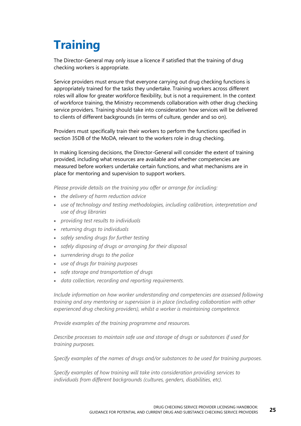## <span id="page-28-0"></span>**Training**

The Director-General may only issue a licence if satisfied that the training of drug checking workers is appropriate.

Service providers must ensure that everyone carrying out drug checking functions is appropriately trained for the tasks they undertake. Training workers across different roles will allow for greater workforce flexibility, but is not a requirement. In the context of workforce training, the Ministry recommends collaboration with other drug checking service providers. Training should take into consideration how services will be delivered to clients of different backgrounds (in terms of culture, gender and so on).

Providers must specifically train their workers to perform the functions specified in section 35DB of the MoDA, relevant to the workers role in drug checking.

In making licensing decisions, the Director-General will consider the extent of training provided, including what resources are available and whether competencies are measured before workers undertake certain functions, and what mechanisms are in place for mentoring and supervision to support workers.

*Please provide details on the training you offer or arrange for including:*

- *the delivery of harm reduction advice*
- *use of technology and testing methodologies, including calibration, interpretation and use of drug libraries*
- *providing test results to individuals*
- *returning drugs to individuals*
- *safely sending drugs for further testing*
- *safely disposing of drugs or arranging for their disposal*
- *surrendering drugs to the police*
- *use of drugs for training purposes*
- *safe storage and transportation of drugs*
- *data collection, recording and reporting requirements.*

*Include information on how worker understanding and competencies are assessed following training and any mentoring or supervision is in place (including collaboration with other experienced drug checking providers), whilst a worker is maintaining competence.*

*Provide examples of the training programme and resources.*

*Describe processes to maintain safe use and storage of drugs or substances if used for training purposes.*

*Specify examples of the names of drugs and/or substances to be used for training purposes.*

*Specify examples of how training will take into consideration providing services to individuals from different backgrounds (cultures, genders, disabilities, etc).*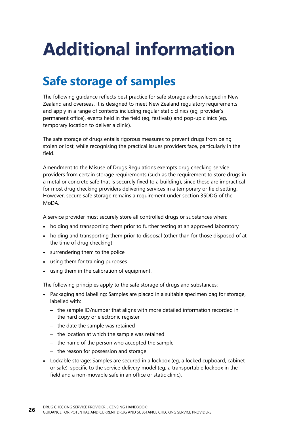# <span id="page-29-0"></span>**Additional information**

### <span id="page-29-1"></span>**Safe storage of samples**

The following guidance reflects best practice for safe storage acknowledged in New Zealand and overseas. It is designed to meet New Zealand regulatory requirements and apply in a range of contexts including regular static clinics (eg, provider's permanent office), events held in the field (eg, festivals) and pop-up clinics (eg, temporary location to deliver a clinic).

The safe storage of drugs entails rigorous measures to prevent drugs from being stolen or lost, while recognising the practical issues providers face, particularly in the field.

Amendment to the Misuse of Drugs Regulations exempts drug checking service providers from certain storage requirements (such as the requirement to store drugs in a metal or concrete safe that is securely fixed to a building), since these are impractical for most drug checking providers delivering services in a temporary or field setting. However, secure safe storage remains a requirement under section 35DDG of the MoDA.

A service provider must securely store all controlled drugs or substances when:

- holding and transporting them prior to further testing at an approved laboratory
- holding and transporting them prior to disposal (other than for those disposed of at the time of drug checking)
- surrendering them to the police
- using them for training purposes
- using them in the calibration of equipment.

The following principles apply to the safe storage of drugs and substances:

- Packaging and labelling: Samples are placed in a suitable specimen bag for storage, labelled with:
	- the sample ID/number that aligns with more detailed information recorded in the hard copy or electronic register
	- the date the sample was retained
	- the location at which the sample was retained
	- the name of the person who accepted the sample
	- the reason for possession and storage.
- Lockable storage: Samples are secured in a lockbox (eg, a locked cupboard, cabinet or safe), specific to the service delivery model (eg, a transportable lockbox in the field and a non-movable safe in an office or static clinic).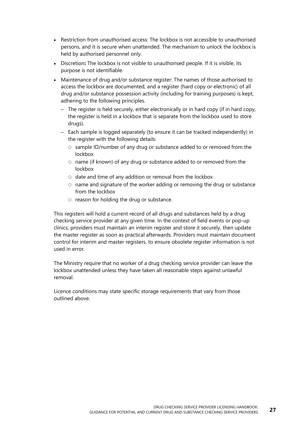- Restriction from unauthorised access: The lockbox is not accessible to unauthorised persons, and it is secure when unattended. The mechanism to unlock the lockbox is held by authorised personnel only.
- Discretion**:** The lockbox is not visible to unauthorised people. If it is visible, its purpose is not identifiable.
- Maintenance of drug and/or substance register: The names of those authorised to access the lockbox are documented, and a register (hard copy or electronic) of all drug and/or substance possession activity (including for training purposes) is kept, adhering to the following principles.
	- The register is held securely, either electronically or in hard copy (if in hard copy, the register is held in a lockbox that is separate from the lockbox used to store drugs).
	- Each sample is logged separately (to ensure it can be tracked independently) in the register with the following details:
		- $\circ$  sample ID/number of any drug or substance added to or removed from the lockbox
		- $\circ$  name (if known) of any drug or substance added to or removed from the lockbox
		- $\circ$  date and time of any addition or removal from the lockbox
		- $\circ$  name and signature of the worker adding or removing the drug or substance from the lockbox
		- $\circ$  reason for holding the drug or substance.

This registers will hold a current record of all drugs and substances held by a drug checking service provider at any given time. In the context of field events or pop-up clinics, providers must maintain an interim register and store it securely, then update the master register as soon as practical afterwards. Providers must maintain document control for interim and master registers, to ensure obsolete register information is not used in error.

The Ministry require that no worker of a drug checking service provider can leave the lockbox unattended unless they have taken all reasonable steps against unlawful removal.

Licence conditions may state specific storage requirements that vary from those outlined above.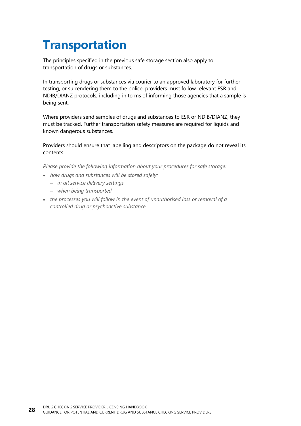### <span id="page-31-0"></span>**Transportation**

The principles specified in the previous safe storage section also apply to transportation of drugs or substances.

In transporting drugs or substances via courier to an approved laboratory for further testing, or surrendering them to the police, providers must follow relevant ESR and NDIB/DIANZ protocols, including in terms of informing those agencies that a sample is being sent.

Where providers send samples of drugs and substances to ESR or NDIB/DIANZ, they must be tracked. Further transportation safety measures are required for liquids and known dangerous substances.

Providers should ensure that labelling and descriptors on the package do not reveal its contents.

*Please provide the following information about your procedures for safe storage:*

- *how drugs and substances will be stored safely:*
	- *in all service delivery settings*
	- *when being transported*
- *the processes you will follow in the event of unauthorised loss or removal of a controlled drug or psychoactive substance.*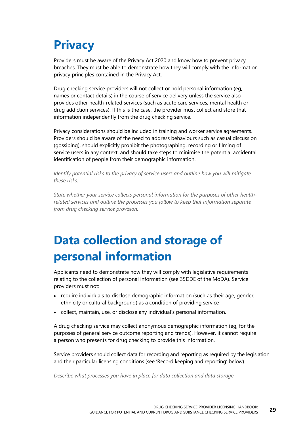### <span id="page-32-0"></span>**Privacy**

Providers must be aware of the Privacy Act 2020 and know how to prevent privacy breaches. They must be able to demonstrate how they will comply with the information privacy principles contained in the Privacy Act.

Drug checking service providers will not collect or hold personal information (eg, names or contact details) in the course of service delivery unless the service also provides other health-related services (such as acute care services, mental health or drug addiction services). If this is the case, the provider must collect and store that information independently from the drug checking service.

Privacy considerations should be included in training and worker service agreements. Providers should be aware of the need to address behaviours such as casual discussion (gossiping), should explicitly prohibit the photographing, recording or filming of service users in any context, and should take steps to minimise the potential accidental identification of people from their demographic information.

*Identify potential risks to the privacy of service users and outline how you will mitigate these risks.*

*State whether your service collects personal information for the purposes of other healthrelated services and outline the processes you follow to keep that information separate from drug checking service provision.*

### <span id="page-32-1"></span>**Data collection and storage of personal information**

Applicants need to demonstrate how they will comply with legislative requirements relating to the collection of personal information (see 35DDE of the MoDA). Service providers must not:

- require individuals to disclose demographic information (such as their age, gender, ethnicity or cultural background) as a condition of providing service
- collect, maintain, use, or disclose any individual's personal information.

A drug checking service may collect anonymous demographic information (eg, for the purposes of general service outcome reporting and trends). However, it cannot require a person who presents for drug checking to provide this information.

Service providers should collect data for recording and reporting as required by the legislation and their particular licensing conditions (see 'Record keeping and reporting' below).

*Describe what processes you have in place for data collection and data storage.*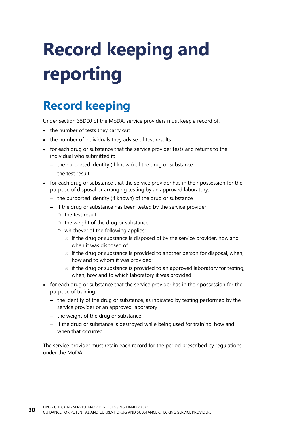# <span id="page-33-0"></span>**Record keeping and reporting**

### <span id="page-33-1"></span>**Record keeping**

Under section 35DDJ of the MoDA, service providers must keep a record of:

- the number of tests they carry out
- the number of individuals they advise of test results
- for each drug or substance that the service provider tests and returns to the individual who submitted it:
	- the purported identity (if known) of the drug or substance
	- the test result
- for each drug or substance that the service provider has in their possession for the purpose of disposal or arranging testing by an approved laboratory:
	- the purported identity (if known) of the drug or substance
	- if the drug or substance has been tested by the service provider:
		- $\circ$  the test result
		- $\circ$  the weight of the drug or substance
		- $\circ$  whichever of the following applies:
			- if the drug or substance is disposed of by the service provider, how and when it was disposed of
			- if the drug or substance is provided to another person for disposal, when, how and to whom it was provided:
			- if the drug or substance is provided to an approved laboratory for testing, when, how and to which laboratory it was provided
- for each drug or substance that the service provider has in their possession for the purpose of training:
	- the identity of the drug or substance, as indicated by testing performed by the service provider or an approved laboratory
	- the weight of the drug or substance
	- if the drug or substance is destroyed while being used for training, how and when that occurred.

The service provider must retain each record for the period prescribed by regulations under the MoDA.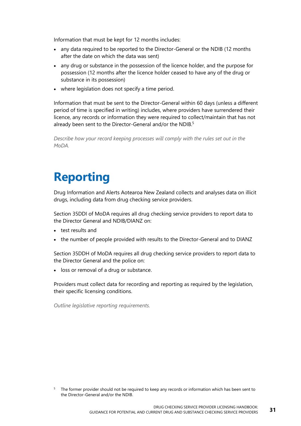Information that must be kept for 12 months includes:

- any data required to be reported to the Director-General or the NDIB (12 months after the date on which the data was sent)
- any drug or substance in the possession of the licence holder, and the purpose for possession (12 months after the licence holder ceased to have any of the drug or substance in its possession)
- where legislation does not specify a time period.

Information that must be sent to the Director-General within 60 days (unless a different period of time is specified in writing) includes, where providers have surrendered their licence, any records or information they were required to collect/maintain that has not already been sent to the Director-General and/or the NDIB.<sup>5</sup>

*Describe how your record keeping processes will comply with the rules set out in the MoDA.*

### <span id="page-34-0"></span>**Reporting**

Drug Information and Alerts Aotearoa New Zealand collects and analyses data on illicit drugs, including data from drug checking service providers.

Section 35DDI of MoDA requires all drug checking service providers to report data to the Director General and NDIB/DIANZ on:

- test results and
- the number of people provided with results to the Director-General and to DIANZ

Section 35DDH of MoDA requires all drug checking service providers to report data to the Director General and the police on:

• loss or removal of a drug or substance.

Providers must collect data for recording and reporting as required by the legislation, their specific licensing conditions.

*Outline legislative reporting requirements.*

The former provider should not be required to keep any records or information which has been sent to the Director-General and/or the NDIB.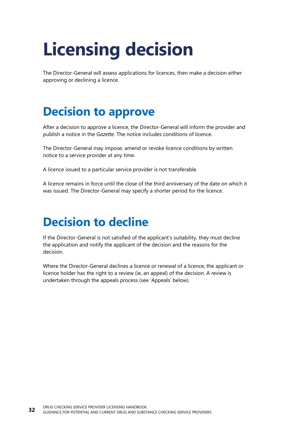## <span id="page-35-0"></span>**Licensing decision**

The Director-General will assess applications for licences, then make a decision either approving or declining a licence.

#### <span id="page-35-1"></span>**Decision to approve**

After a decision to approve a licence, the Director-General will inform the provider and publish a notice in the *Gazette*. The notice includes conditions of licence.

The Director-General may impose, amend or revoke licence conditions by written notice to a service provider at any time.

A licence issued to a particular service provider is not transferable.

A licence remains in force until the close of the third anniversary of the date on which it was issued. The Director-General may specify a shorter period for the licence.

#### <span id="page-35-2"></span>**Decision to decline**

If the Director-General is not satisfied of the applicant's suitability, they must decline the application and notify the applicant of the decision and the reasons for the decision.

Where the Director-General declines a licence or renewal of a licence, the applicant or licence holder has the right to a review (ie, an appeal) of the decision. A review is undertaken through the appeals process (see 'Appeals' below).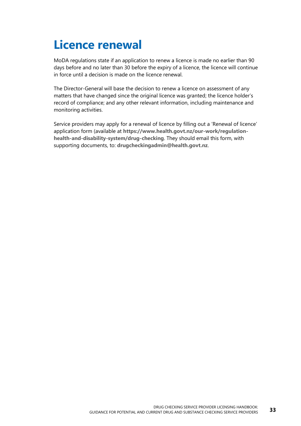### <span id="page-36-0"></span>**Licence renewal**

MoDA regulations state if an application to renew a licence is made no earlier than 90 days before and no later than 30 before the expiry of a licence, the licence will continue in force until a decision is made on the licence renewal.

The Director-General will base the decision to renew a licence on assessment of any matters that have changed since the original licence was granted; the licence holder's record of compliance; and any other relevant information, including maintenance and monitoring activities.

Service providers may apply for a renewal of licence by filling out a 'Renewal of licence' application form (available at **[https://www.health.govt.nz/our-work/regulation](https://www.health.govt.nz/our-work/regulation-health-and-disability-system/drug-checking)[health-and-disability-system/drug-checking](https://www.health.govt.nz/our-work/regulation-health-and-disability-system/drug-checking)**. They should email this form, with supporting documents, to: **[drugcheckingadmin@health.govt.nz](mailto:drugcheckingadmin@health.govt.nz)**.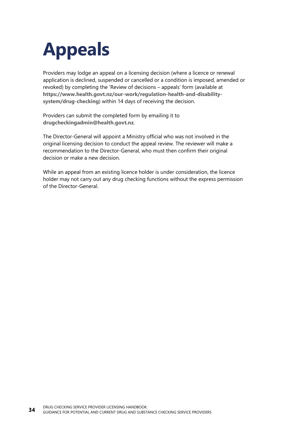## <span id="page-37-0"></span>**Appeals**

Providers may lodge an appeal on a licensing decision (where a licence or renewal application is declined, suspended or cancelled or a condition is imposed, amended or revoked) by completing the 'Review of decisions – appeals' form (available at **[https://www.health.govt.nz/our-work/regulation-health-and-disability](https://www.health.govt.nz/our-work/regulation-health-and-disability-system/drug-checking)[system/drug-checking](https://www.health.govt.nz/our-work/regulation-health-and-disability-system/drug-checking)**) within 14 days of receiving the decision.

Providers can submit the completed form by emailing it to **[drugcheckingadmin@health.govt.nz](mailto:drugcheckingadmin@health.govt.nz)**.

The Director-General will appoint a Ministry official who was not involved in the original licensing decision to conduct the appeal review. The reviewer will make a recommendation to the Director-General, who must then confirm their original decision or make a new decision.

While an appeal from an existing licence holder is under consideration, the licence holder may not carry out any drug checking functions without the express permission of the Director-General.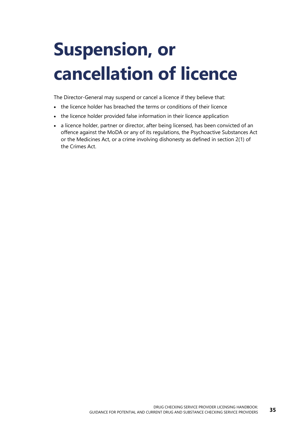## <span id="page-38-0"></span>**Suspension, or cancellation of licence**

The Director-General may suspend or cancel a licence if they believe that:

- the licence holder has breached the terms or conditions of their licence
- the licence holder provided false information in their licence application
- a licence holder, partner or director, after being licensed, has been convicted of an offence against the MoDA or any of its regulations, the Psychoactive Substances Act or the Medicines Act, or a crime involving dishonesty as defined in section 2(1) of the Crimes Act.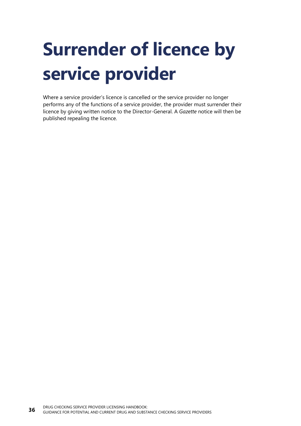# <span id="page-39-0"></span>**Surrender of licence by service provider**

Where a service provider's licence is cancelled or the service provider no longer performs any of the functions of a service provider, the provider must surrender their licence by giving written notice to the Director-General. A *Gazette* notice will then be published repealing the licence.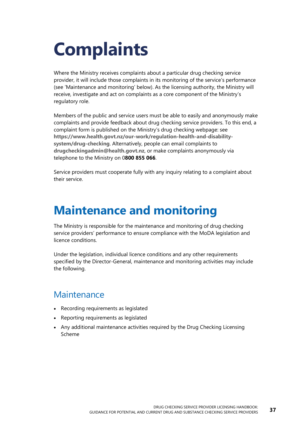## <span id="page-40-0"></span>**Complaints**

Where the Ministry receives complaints about a particular drug checking service provider, it will include those complaints in its monitoring of the service's performance (see 'Maintenance and monitoring' below). As the licensing authority, the Ministry will receive, investigate and act on complaints as a core component of the Ministry's regulatory role.

Members of the public and service users must be able to easily and anonymously make complaints and provide feedback about drug checking service providers. To this end, a complaint form is published on the Ministry's drug checking webpage: see **[https://www.health.govt.nz/our-work/regulation-health-and-disability](https://www.health.govt.nz/our-work/regulation-health-and-disability-system/drug-checking)[system/drug-checking](https://www.health.govt.nz/our-work/regulation-health-and-disability-system/drug-checking)**. Alternatively, people can email complaints to **[drugcheckingadmin@health.govt.nz](mailto:drugcheckingadmin@health.govt.nz)**, or make complaints anonymously via telephone to the Ministry on 0**[800 855 066](tel:0800855066)**.

Service providers must cooperate fully with any inquiry relating to a complaint about their service.

#### <span id="page-40-1"></span>**Maintenance and monitoring**

The Ministry is responsible for the maintenance and monitoring of drug checking service providers' performance to ensure compliance with the MoDA legislation and licence conditions.

Under the legislation, individual licence conditions and any other requirements specified by the Director-General, maintenance and monitoring activities may include the following.

#### **Maintenance**

- Recording requirements as legislated
- Reporting requirements as legislated
- Any additional maintenance activities required by the Drug Checking Licensing Scheme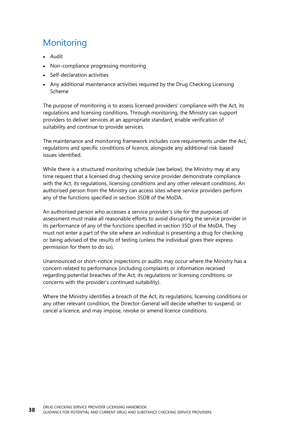#### **Monitoring**

- Audit
- Non-compliance progressing monitoring
- Self-declaration activities
- Any additional maintenance activities required by the Drug Checking Licensing Scheme

The purpose of monitoring is to assess licensed providers' compliance with the Act, its regulations and licensing conditions. Through monitoring, the Ministry can support providers to deliver services at an appropriate standard, enable verification of suitability and continue to provide services.

The maintenance and monitoring framework includes core requirements under the Act, regulations and specific conditions of licence, alongside any additional risk-based issues identified.

While there is a structured monitoring schedule (see below), the Ministry may at any time request that a licensed drug checking service provider demonstrate compliance with the Act, its regulations, licensing conditions and any other relevant conditions. An authorised person from the Ministry can access sites where service providers perform any of the functions specified in section 35DB of the MoDA.

An authorised person who accesses a service provider's site for the purposes of assessment must make all reasonable efforts to avoid disrupting the service provider in its performance of any of the functions specified in section 35D of the MoDA. They must not enter a part of the site where an individual is presenting a drug for checking or being advised of the results of testing (unless the individual gives their express permission for them to do so).

Unannounced or short-notice inspections or audits may occur where the Ministry has a concern related to performance (including complaints or information received regarding potential breaches of the Act, its regulations or licensing conditions, or concerns with the provider's continued suitability).

Where the Ministry identifies a breach of the Act, its regulations, licensing conditions or any other relevant condition, the Director-General will decide whether to suspend, or cancel a licence, and may impose, revoke or amend licence conditions.